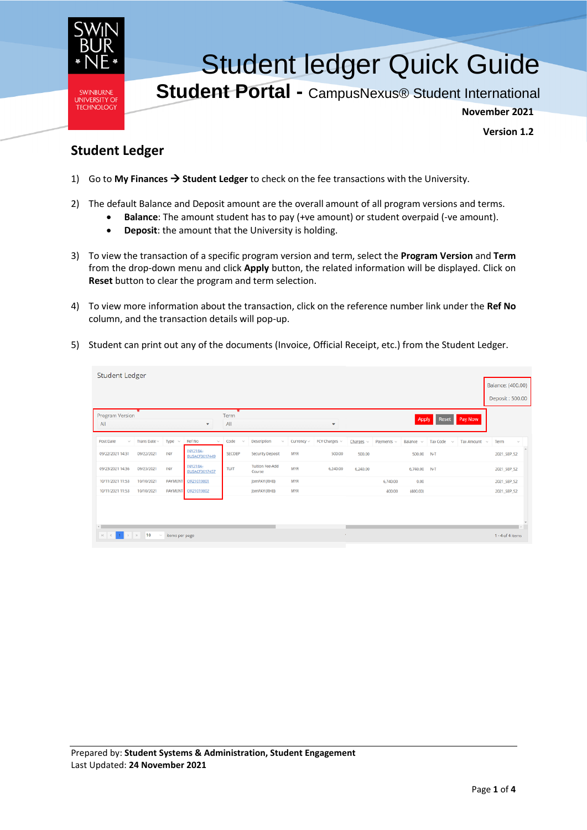

## Student ledger Quick Guide

**Student Portal -** CampusNexus® Student International

**November 2021**

**Version 1.2**

## **Student Ledger**

- 1) Go to **My Finances** → **Student Ledger** to check on the fee transactions with the University.
- 2) The default Balance and Deposit amount are the overall amount of all program versions and terms.
	- **Balance**: The amount student has to pay (+ve amount) or student overpaid (-ve amount).
	- **Deposit**: the amount that the University is holding.
- 3) To view the transaction of a specific program version and term, select the **Program Version** and **Term** from the drop-down menu and click **Apply** button, the related information will be displayed. Click on **Reset** button to clear the program and term selection.
- 4) To view more information about the transaction, click on the reference number link under the **Ref No** column, and the transaction details will pop-up.
- 5) Student can print out any of the documents (Invoice, Official Receipt, etc.) from the Student Ledger.

| <b>Student Ledger</b>             |                           |                         |                                  |                                        |                                            |                 |               |                |            |                |                    |              |                    |        |
|-----------------------------------|---------------------------|-------------------------|----------------------------------|----------------------------------------|--------------------------------------------|-----------------|---------------|----------------|------------|----------------|--------------------|--------------|--------------------|--------|
|                                   |                           |                         |                                  |                                        |                                            |                 |               |                |            |                |                    |              | Balance: (400.00)  |        |
|                                   |                           |                         |                                  |                                        |                                            |                 |               |                |            |                |                    |              | Deposit: 500.00    |        |
| Program Version<br>All            |                           |                         | $\mathbf{v}$                     | $\overline{\mathbf{x}}$<br>Term<br>All |                                            |                 | ۳             |                |            | Apply          | <b>Reset</b>       | Pay Now      |                    |        |
| Post Date<br>$\sim$               | Trans Date $\sim$         | Type<br>$\sim$          | Ref No<br>$\tau_{\rm{tot}}$      | Code<br>$\mathcal{L}_{\mathcal{A}}$    | Description<br>$\mathcal{S}_{\mathcal{M}}$ | Currency $\sim$ | FCY Charges ~ | Changes $\sim$ | Payments ~ | Balance $\sim$ | Tax Code<br>$\sim$ | Tax Amount ~ | Term               | $\sim$ |
| 09/22/2021 14:31                  | 09/22/2021                | INV                     | INV21BA-<br><b>BUSACF3017449</b> | SECDEP                                 | <b>Security Deposit</b>                    | <b>MYR</b>      | 500.00        | 500.00         |            | 500.00         | $N-T$              |              | 2021 SEP S2        |        |
| 09/23/2021 14:36                  | 09/23/2021                | INV                     | INV21BA-<br><b>BUSACF3017457</b> | TUIT                                   | <b>Tuition Fee-Add</b><br>Course           | <b>MYR</b>      | 6,240.00      | 6,240.00       |            | 6,740.00       | $N-T$              |              | 2021_SEP_S2        |        |
| 10/11/2021 11:53                  | 10/10/2021                | PAYMENT                 | OR21019801                       |                                        | JomPAY (RHB)                               | <b>MYR</b>      |               |                | 6,740.00   | 0,00           |                    |              | 2021_SEP_S2        |        |
| 10/11/2021 11:53                  | 10/10/2021                | <b>PAYMENT</b>          | OR21019802                       |                                        | JomPAY (RHB)                               | <b>MYR</b>      |               |                | 400.00     | (400.00)       |                    |              | 2021_SEP_S2        |        |
|                                   |                           |                         |                                  |                                        |                                            |                 |               |                |            |                |                    |              |                    |        |
| $\kappa$ $\mid$ $\epsilon$ $\mid$ | $1 \rightarrow \times 10$ | $~\vee~$ items per page |                                  |                                        |                                            |                 |               |                |            |                |                    |              | $1 - 4$ of 4 items |        |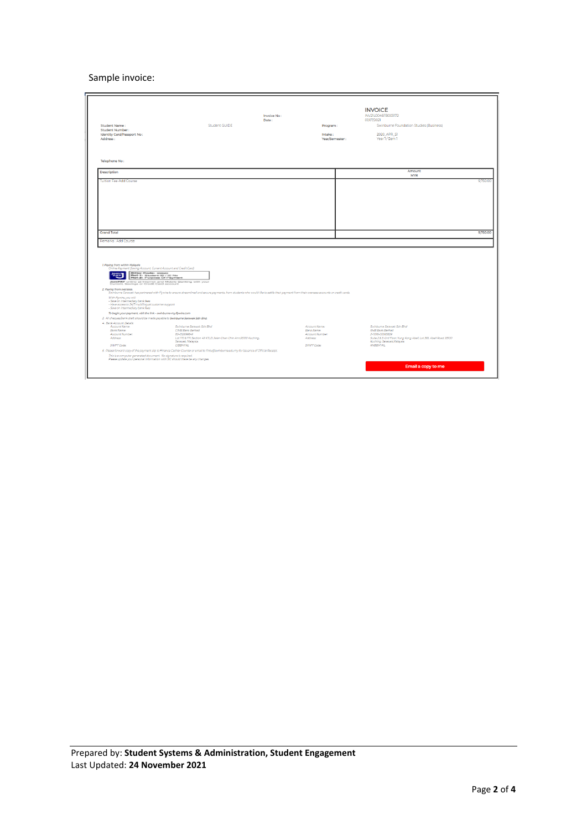## Sample invoice:

| <b>Student Name:</b><br>Student Number:<br>Identity Card/Passport No:                                                                                                                                                                                                                                                     | Student GUIDE                                                                                                                                                                              | Invoice No:<br>Date: | Program:<br>Intake:         | <b>INVOICE</b><br>INV21L0046FB003172<br>01/07/2021<br>Swinburne Foundation Studies (Business)<br>2020 APR ST |
|---------------------------------------------------------------------------------------------------------------------------------------------------------------------------------------------------------------------------------------------------------------------------------------------------------------------------|--------------------------------------------------------------------------------------------------------------------------------------------------------------------------------------------|----------------------|-----------------------------|--------------------------------------------------------------------------------------------------------------|
| Address:                                                                                                                                                                                                                                                                                                                  |                                                                                                                                                                                            |                      | Year/Semester:              | Year 1/Sem 1                                                                                                 |
|                                                                                                                                                                                                                                                                                                                           |                                                                                                                                                                                            |                      |                             |                                                                                                              |
| Telephone No:                                                                                                                                                                                                                                                                                                             |                                                                                                                                                                                            |                      |                             |                                                                                                              |
| Description                                                                                                                                                                                                                                                                                                               |                                                                                                                                                                                            |                      |                             | Amount<br><b>MYR</b>                                                                                         |
| <b>Tuition Fee-Add Course</b>                                                                                                                                                                                                                                                                                             |                                                                                                                                                                                            |                      |                             | 9,750.00                                                                                                     |
| <b>Grand Total</b>                                                                                                                                                                                                                                                                                                        |                                                                                                                                                                                            |                      |                             | 9.750.00                                                                                                     |
| Remarks: Add Course                                                                                                                                                                                                                                                                                                       |                                                                                                                                                                                            |                      |                             |                                                                                                              |
| 1. Paying from within Malaysia<br>Online Payment (Saving Account, Current Account and Credit Card)<br>Biller Code: 99820<br>Ref-1: Student ID / IC No<br>Ref-2: Purpose Of Payment<br>圈<br>JornFAY online at Internet and Mobile Banking with your<br>Current, Savings or Credit Card account<br>2. Paying from overseas. | Swinburne Sarawak has partnered with Flywire to ensure streamlined and secure payments, from students who would like to settle their payment from their overseas accounts or credit cards. |                      |                             |                                                                                                              |
| With Flywire, you will:<br>- Save on intermediary bank fees<br>- Have access to 24/7 multilingual customer support<br>- Save on intermediary bank fees                                                                                                                                                                    |                                                                                                                                                                                            |                      |                             |                                                                                                              |
| To begin your payment, visit the link - swinburne-my.flywire.com<br>3. All cheques/bank draft should be made payable to Swinburne Sarawak Sdn Bhd.                                                                                                                                                                        |                                                                                                                                                                                            |                      |                             |                                                                                                              |
| 4. Bank Account Details:                                                                                                                                                                                                                                                                                                  |                                                                                                                                                                                            |                      |                             |                                                                                                              |
| Account Name:<br>Bank Name:                                                                                                                                                                                                                                                                                               | Swinburne Sarawak Sdn Bhd<br>CIMB Bank Berhad                                                                                                                                              |                      | Account Name:<br>Bank Name: | Swinburne Sarawak Sdn Bhd<br>RHB Bank Berhad                                                                 |
| Account Number:<br>Address:                                                                                                                                                                                                                                                                                               | 80-0526998-9<br>Lot 170 & 171, Section 49 KTLD, Jalan Chan Chin Ann,93100 Kuching,                                                                                                         |                      | Account Number:<br>Address: | 2-11016-00065829<br>Suite 2 & 3, Grd Floor, Yung Kong Abell, Lot 365, Abell Road, 93100                      |
|                                                                                                                                                                                                                                                                                                                           | Sarawak, Malaysia.                                                                                                                                                                         |                      |                             | Kuching, Sarawak Malaysia.                                                                                   |
| SWIFT Code:                                                                                                                                                                                                                                                                                                               | CIBBMYKL<br>5. Please forward copy of the payment slip to Finance Cashier Counter or email to fintu@swinburne.edu.my for issuance of Official Receipt.                                     |                      | SWIFT Code:                 | RHBBMWL                                                                                                      |
| This is a computer generated document. No signature is required.<br>Please update your personal information with SIC should there be any changes.                                                                                                                                                                         |                                                                                                                                                                                            |                      |                             |                                                                                                              |
|                                                                                                                                                                                                                                                                                                                           |                                                                                                                                                                                            |                      |                             | Email a copy to me                                                                                           |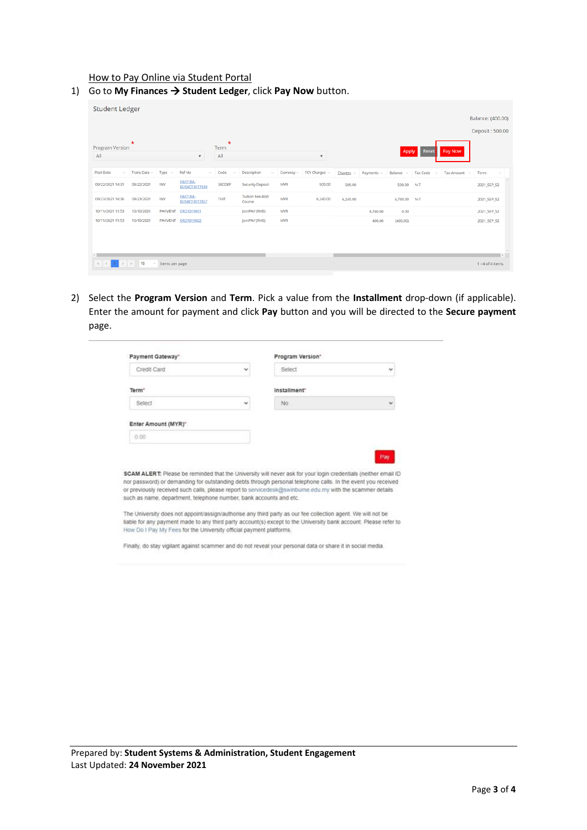How to Pay Online via Student Portal

| Program Version     | $\star$           |                |                                  | $\star$<br>Term |                                  |                 |               |                |                 |              |                           |              |             |
|---------------------|-------------------|----------------|----------------------------------|-----------------|----------------------------------|-----------------|---------------|----------------|-----------------|--------------|---------------------------|--------------|-------------|
| All                 |                   |                | $\mathbf{v}$                     | All             |                                  |                 | $\mathbf{v}$  |                |                 | Apply        | Reset                     | Pay Now      |             |
| Post Date<br>$\sim$ | Trans Date $\sim$ | Type $\sim$    | Ref No<br>$\sim$                 | Code<br>$\sim$  | Description<br>$\sim$            | Currency $\sim$ | FCY Charges ~ | Charges $\sim$ | Payments $\sim$ | Balance ~    | <b>Tax Code</b><br>$\sim$ | Tax Amount v | Term        |
| 09/22/2021 14:31    | 09/22/2021        | INV            | INV21BA-<br><b>BUSACF3017449</b> | SECDEP          | <b>Security Deposit</b>          | <b>MYR</b>      | 500.00        | 500.00         |                 | 500.00       | $N-T$                     |              | 2021_SEP_S2 |
| 09/23/2021 14:36    | 09/23/2021        | INV            | INV21BA-<br><b>BUSACF3017457</b> | TUIT            | <b>Tuition Fee-Add</b><br>Course | <b>MYR</b>      | 6,240.00      | 6,240.00       |                 | 6,740.00 N-T |                           |              | 2021_SEP_S2 |
| 10/11/2021 11:53    | 10/10/2021        | <b>PAYMENT</b> | OR21019801                       |                 | JomPAY (RHB)                     | <b>MYR</b>      |               |                | 6,740.00        | 0.00         |                           |              | 2021_SEP_S2 |
| 10/11/2021 11:53    | 10/10/2021        |                | PAYMENT OR21019802               |                 | JomPAY (RHB)                     | <b>MYR</b>      |               |                | 400.00          | (400.00)     |                           |              | 2021_SEP_S2 |

1) Go to **My Finances** → **Student Ledger**, click **Pay Now** button.

2) Select the **Program Version** and **Term**. Pick a value from the **Installment** drop-down (if applicable). Enter the amount for payment and click **Pay** button and you will be directed to the **Secure payment** page.

| Payment Gateway"                                                   |   | Program Version"                                                                                                                                                                                                          |              |
|--------------------------------------------------------------------|---|---------------------------------------------------------------------------------------------------------------------------------------------------------------------------------------------------------------------------|--------------|
| Credit Card                                                        | v | Select                                                                                                                                                                                                                    | v            |
| Term <sup>-</sup>                                                  |   | Installment"                                                                                                                                                                                                              |              |
| Select                                                             | v | No.                                                                                                                                                                                                                       | $\checkmark$ |
| Enter Amount (MYR) <sup>*</sup>                                    |   |                                                                                                                                                                                                                           |              |
|                                                                    |   |                                                                                                                                                                                                                           |              |
| 0.00                                                               |   |                                                                                                                                                                                                                           |              |
|                                                                    |   |                                                                                                                                                                                                                           |              |
|                                                                    |   |                                                                                                                                                                                                                           | Pay          |
|                                                                    |   | SCAM ALERT: Please be reminded that the University will never ask for your login credentials (neither email ID                                                                                                            |              |
|                                                                    |   | nor password) or demanding for outstanding debts through personal telephone calls. In the event you received<br>or previously received such calls, please report to servicedesk@swinburne.edu.my with the scammer details |              |
| such as name, department, telephone number, bank accounts and etc. |   |                                                                                                                                                                                                                           |              |
|                                                                    |   | The University does not appoint/assign/authorise any third party as our fee collection agent. We will not be                                                                                                              |              |

Finally, do stay vigilant against scammer and do not reveal your personal data or share it in social media.